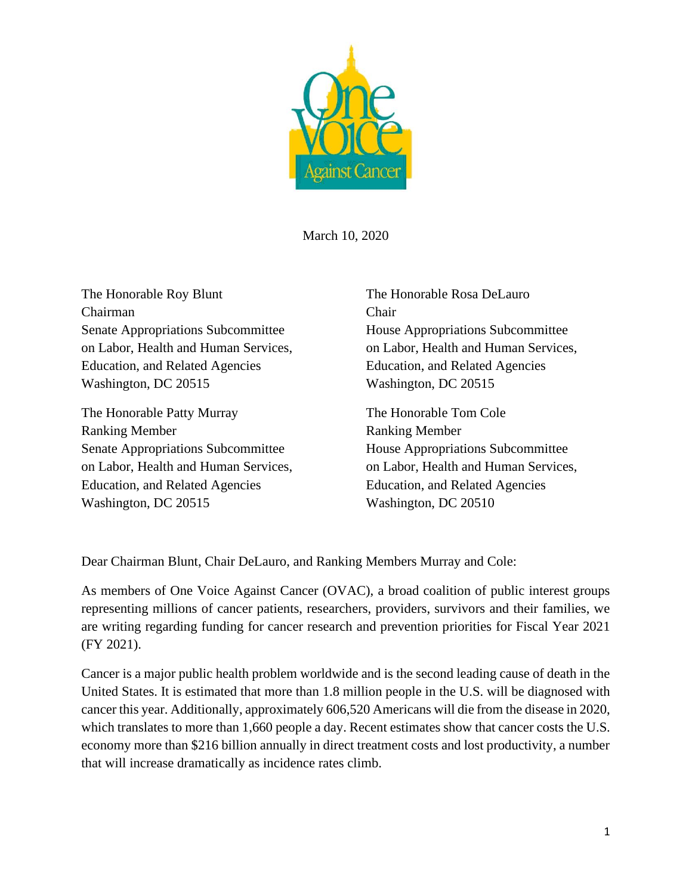

March 10, 2020

The Honorable Roy Blunt The Honorable Rosa DeLauro Chairman Chair Senate Appropriations Subcommittee House Appropriations Subcommittee Education, and Related Agencies Education, and Related Agencies Washington, DC 20515 Washington, DC 20515

The Honorable Patty Murray The Honorable Tom Cole Ranking Member Ranking Member Senate Appropriations Subcommittee House Appropriations Subcommittee on Labor, Health and Human Services, on Labor, Health and Human Services, Education, and Related Agencies Education, and Related Agencies Washington, DC 20515 Washington, DC 20510

on Labor, Health and Human Services, on Labor, Health and Human Services,

Dear Chairman Blunt, Chair DeLauro, and Ranking Members Murray and Cole:

As members of One Voice Against Cancer (OVAC), a broad coalition of public interest groups representing millions of cancer patients, researchers, providers, survivors and their families, we are writing regarding funding for cancer research and prevention priorities for Fiscal Year 2021 (FY 2021).

Cancer is a major public health problem worldwide and is the second leading cause of death in the United States. It is estimated that more than 1.8 million people in the U.S. will be diagnosed with cancer this year. Additionally, approximately 606,520 Americans will die from the disease in 2020, which translates to more than 1,660 people a day. Recent estimates show that cancer costs the U.S. economy more than \$216 billion annually in direct treatment costs and lost productivity, a number that will increase dramatically as incidence rates climb.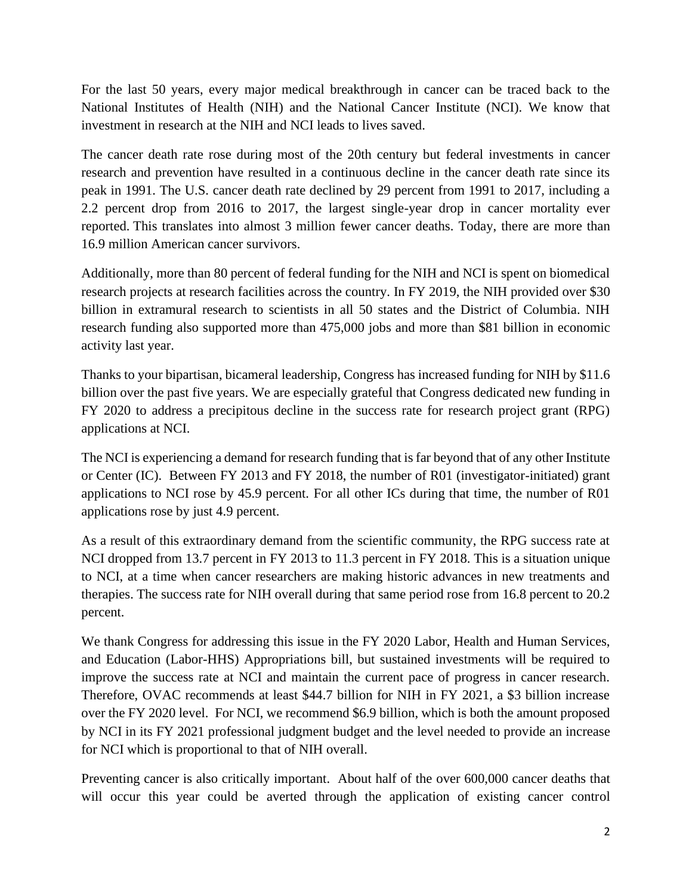For the last 50 years, every major medical breakthrough in cancer can be traced back to the National Institutes of Health (NIH) and the National Cancer Institute (NCI). We know that investment in research at the NIH and NCI leads to lives saved.

The cancer death rate rose during most of the 20th century but federal investments in cancer research and prevention have resulted in a continuous decline in the cancer death rate since its peak in 1991. The U.S. cancer death rate declined by 29 percent from 1991 to 2017, including a 2.2 percent drop from 2016 to 2017, the largest single-year drop in cancer mortality ever reported. This translates into almost 3 million fewer cancer deaths. Today, there are more than 16.9 million American cancer survivors.

Additionally, more than 80 percent of federal funding for the NIH and NCI is spent on biomedical research projects at research facilities across the country. In FY 2019, the NIH provided over \$30 billion in extramural research to scientists in all 50 states and the District of Columbia. NIH research funding also supported more than 475,000 jobs and more than \$81 billion in economic activity last year.

Thanks to your bipartisan, bicameral leadership, Congress has increased funding for NIH by \$11.6 billion over the past five years. We are especially grateful that Congress dedicated new funding in FY 2020 to address a precipitous decline in the success rate for research project grant (RPG) applications at NCI.

The NCI is experiencing a demand for research funding that is far beyond that of any other Institute or Center (IC). Between FY 2013 and FY 2018, the number of R01 (investigator-initiated) grant applications to NCI rose by 45.9 percent. For all other ICs during that time, the number of R01 applications rose by just 4.9 percent.

As a result of this extraordinary demand from the scientific community, the RPG success rate at NCI dropped from 13.7 percent in FY 2013 to 11.3 percent in FY 2018. This is a situation unique to NCI, at a time when cancer researchers are making historic advances in new treatments and therapies. The success rate for NIH overall during that same period rose from 16.8 percent to 20.2 percent.

We thank Congress for addressing this issue in the FY 2020 Labor, Health and Human Services, and Education (Labor-HHS) Appropriations bill, but sustained investments will be required to improve the success rate at NCI and maintain the current pace of progress in cancer research. Therefore, OVAC recommends at least \$44.7 billion for NIH in FY 2021, a \$3 billion increase over the FY 2020 level. For NCI, we recommend \$6.9 billion, which is both the amount proposed by NCI in its FY 2021 professional judgment budget and the level needed to provide an increase for NCI which is proportional to that of NIH overall.

Preventing cancer is also critically important. About half of the over 600,000 cancer deaths that will occur this year could be averted through the application of existing cancer control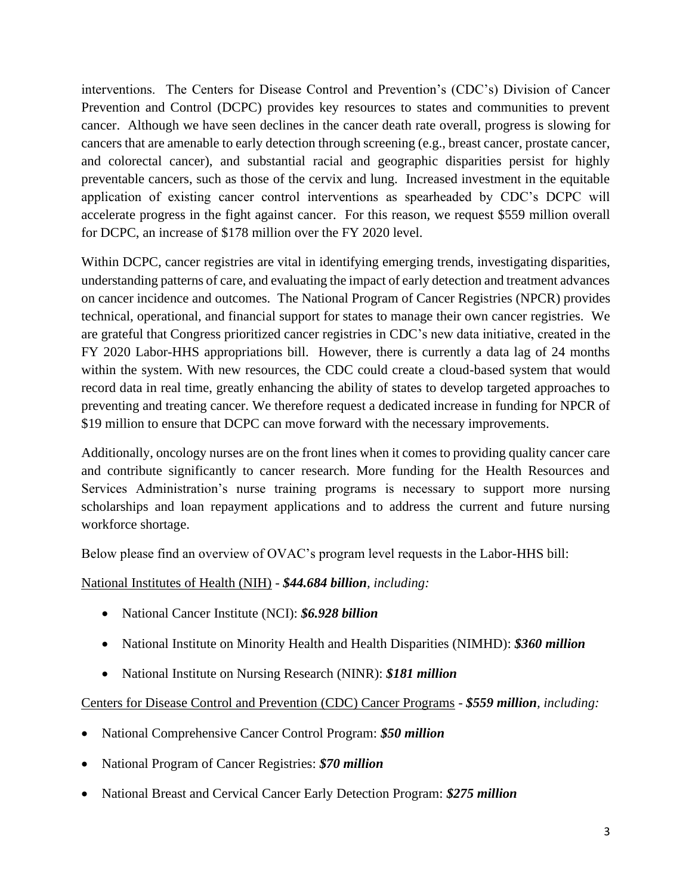interventions. The Centers for Disease Control and Prevention's (CDC's) Division of Cancer Prevention and Control (DCPC) provides key resources to states and communities to prevent cancer. Although we have seen declines in the cancer death rate overall, progress is slowing for cancers that are amenable to early detection through screening (e.g., breast cancer, prostate cancer, and colorectal cancer), and substantial racial and geographic disparities persist for highly preventable cancers, such as those of the cervix and lung. Increased investment in the equitable application of existing cancer control interventions as spearheaded by CDC's DCPC will accelerate progress in the fight against cancer. For this reason, we request \$559 million overall for DCPC, an increase of \$178 million over the FY 2020 level.

Within DCPC, cancer registries are vital in identifying emerging trends, investigating disparities, understanding patterns of care, and evaluating the impact of early detection and treatment advances on cancer incidence and outcomes. The National Program of Cancer Registries (NPCR) provides technical, operational, and financial support for states to manage their own cancer registries. We are grateful that Congress prioritized cancer registries in CDC's new data initiative, created in the FY 2020 Labor-HHS appropriations bill. However, there is currently a data lag of 24 months within the system. With new resources, the CDC could create a cloud-based system that would record data in real time, greatly enhancing the ability of states to develop targeted approaches to preventing and treating cancer. We therefore request a dedicated increase in funding for NPCR of \$19 million to ensure that DCPC can move forward with the necessary improvements.

Additionally, oncology nurses are on the front lines when it comes to providing quality cancer care and contribute significantly to cancer research. More funding for the Health Resources and Services Administration's nurse training programs is necessary to support more nursing scholarships and loan repayment applications and to address the current and future nursing workforce shortage.

Below please find an overview of OVAC's program level requests in the Labor-HHS bill:

National Institutes of Health (NIH) - *\$44.684 billion, including:*

- National Cancer Institute (NCI): *\$6.928 billion*
- National Institute on Minority Health and Health Disparities (NIMHD): *\$360 million*
- National Institute on Nursing Research (NINR): *\$181 million*

Centers for Disease Control and Prevention (CDC) Cancer Programs - *\$559 million, including:*

- National Comprehensive Cancer Control Program: *\$50 million*
- National Program of Cancer Registries: *\$70 million*
- National Breast and Cervical Cancer Early Detection Program: *\$275 million*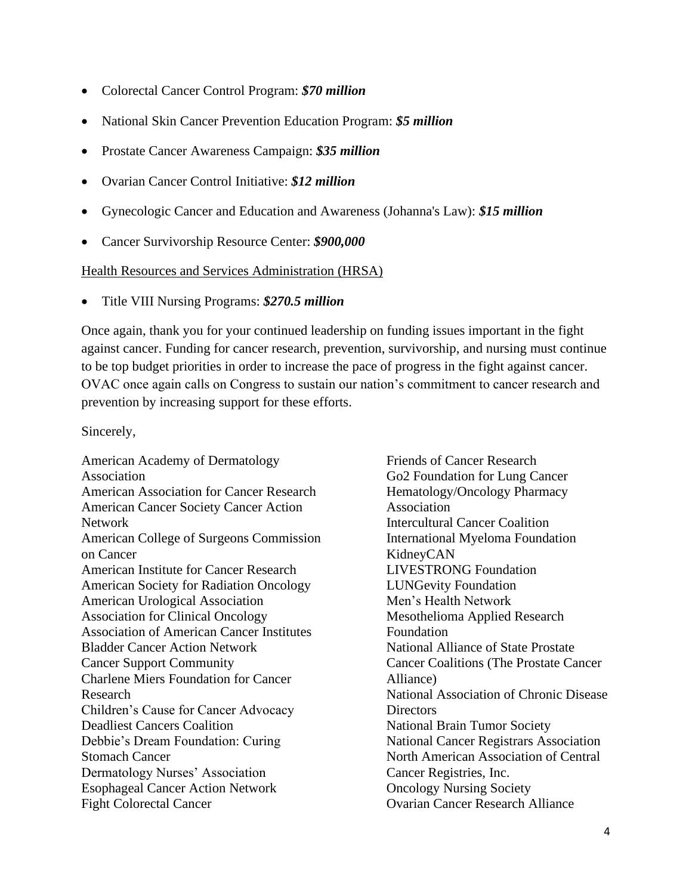- Colorectal Cancer Control Program: *\$70 million*
- National Skin Cancer Prevention Education Program: *\$5 million*
- Prostate Cancer Awareness Campaign: *\$35 million*
- Ovarian Cancer Control Initiative: *\$12 million*
- Gynecologic Cancer and Education and Awareness (Johanna's Law): *\$15 million*
- Cancer Survivorship Resource Center: *\$900,000*

## Health Resources and Services Administration (HRSA)

• Title VIII Nursing Programs: *\$270.5 million*

Once again, thank you for your continued leadership on funding issues important in the fight against cancer. Funding for cancer research, prevention, survivorship, and nursing must continue to be top budget priorities in order to increase the pace of progress in the fight against cancer. OVAC once again calls on Congress to sustain our nation's commitment to cancer research and prevention by increasing support for these efforts.

Sincerely,

American Academy of Dermatology Association American Association for Cancer Research American Cancer Society Cancer Action Network American College of Surgeons Commission on Cancer American Institute for Cancer Research American Society for Radiation Oncology American Urological Association Association for Clinical Oncology Association of American Cancer Institutes Bladder Cancer Action Network Cancer Support Community Charlene Miers Foundation for Cancer Research Children's Cause for Cancer Advocacy Deadliest Cancers Coalition Debbie's Dream Foundation: Curing Stomach Cancer Dermatology Nurses' Association Esophageal Cancer Action Network Fight Colorectal Cancer

Friends of Cancer Research Go2 Foundation for Lung Cancer Hematology/Oncology Pharmacy Association Intercultural Cancer Coalition International Myeloma Foundation KidneyCAN LIVESTRONG Foundation LUNGevity Foundation Men's Health Network Mesothelioma Applied Research Foundation National Alliance of State Prostate Cancer Coalitions (The Prostate Cancer Alliance) National Association of Chronic Disease **Directors** National Brain Tumor Society National Cancer Registrars Association North American Association of Central Cancer Registries, Inc. Oncology Nursing Society Ovarian Cancer Research Alliance